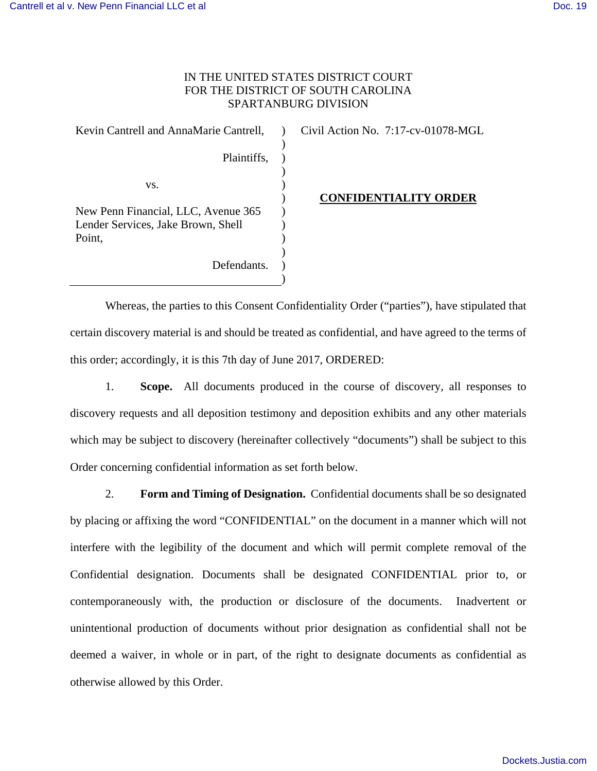## IN THE UNITED STATES DISTRICT COURT FOR THE DISTRICT OF SOUTH CAROLINA SPARTANBURG DIVISION

 $\lambda$  $\lambda$  $\mathcal{L}$ ) ) ) ) ) ) ) ) )

Plaintiffs,

Defendants.

Kevin Cantrell and AnnaMarie Cantrell,

vs.

Civil Action No. 7:17-cv-01078-MGL

New Penn Financial, LLC, Avenue 365 Lender Services, Jake Brown, Shell Point,

### **CONFIDENTIALITY ORDER**

Whereas, the parties to this Consent Confidentiality Order ("parties"), have stipulated that certain discovery material is and should be treated as confidential, and have agreed to the terms of this order; accordingly, it is this 7th day of June 2017, ORDERED:

1. **Scope.** All documents produced in the course of discovery, all responses to discovery requests and all deposition testimony and deposition exhibits and any other materials which may be subject to discovery (hereinafter collectively "documents") shall be subject to this Order concerning confidential information as set forth below.

2. **Form and Timing of Designation.** Confidential documents shall be so designated by placing or affixing the word "CONFIDENTIAL" on the document in a manner which will not interfere with the legibility of the document and which will permit complete removal of the Confidential designation. Documents shall be designated CONFIDENTIAL prior to, or contemporaneously with, the production or disclosure of the documents. Inadvertent or unintentional production of documents without prior designation as confidential shall not be deemed a waiver, in whole or in part, of the right to designate documents as confidential as otherwise allowed by this Order.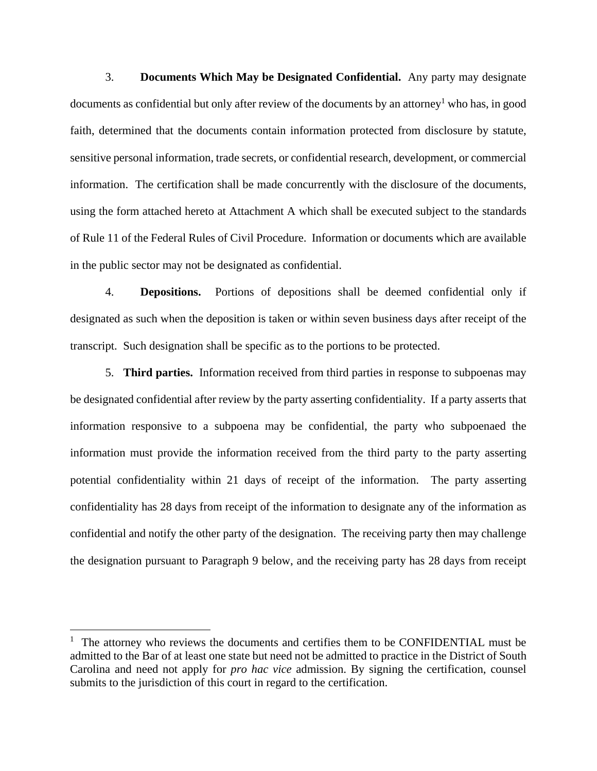3. **Documents Which May be Designated Confidential.** Any party may designate documents as confidential but only after review of the documents by an attorney<sup>1</sup> who has, in good faith, determined that the documents contain information protected from disclosure by statute, sensitive personal information, trade secrets, or confidential research, development, or commercial information. The certification shall be made concurrently with the disclosure of the documents, using the form attached hereto at Attachment A which shall be executed subject to the standards of Rule 11 of the Federal Rules of Civil Procedure. Information or documents which are available in the public sector may not be designated as confidential.

 4. **Depositions.** Portions of depositions shall be deemed confidential only if designated as such when the deposition is taken or within seven business days after receipt of the transcript. Such designation shall be specific as to the portions to be protected.

 5. **Third parties.** Information received from third parties in response to subpoenas may be designated confidential after review by the party asserting confidentiality. If a party asserts that information responsive to a subpoena may be confidential, the party who subpoenaed the information must provide the information received from the third party to the party asserting potential confidentiality within 21 days of receipt of the information. The party asserting confidentiality has 28 days from receipt of the information to designate any of the information as confidential and notify the other party of the designation. The receiving party then may challenge the designation pursuant to Paragraph 9 below, and the receiving party has 28 days from receipt

<u>.</u>

<sup>&</sup>lt;sup>1</sup> The attorney who reviews the documents and certifies them to be CONFIDENTIAL must be admitted to the Bar of at least one state but need not be admitted to practice in the District of South Carolina and need not apply for *pro hac vice* admission. By signing the certification, counsel submits to the jurisdiction of this court in regard to the certification.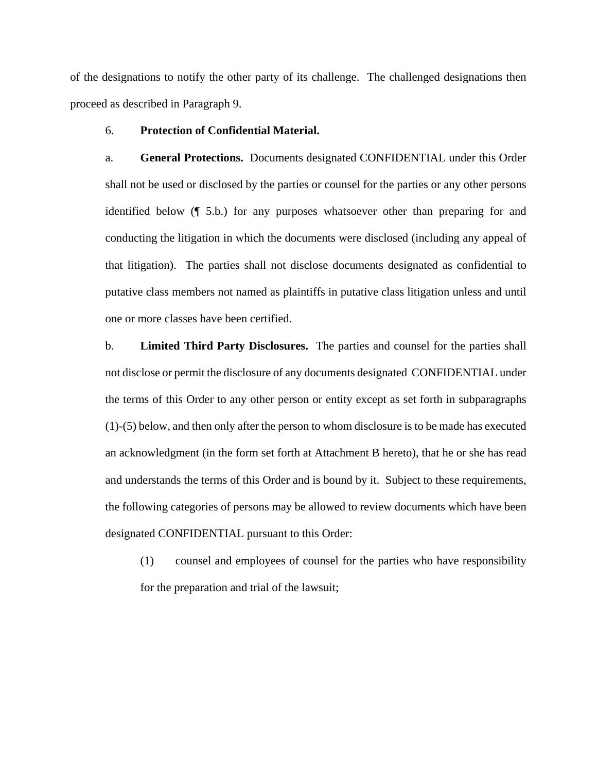of the designations to notify the other party of its challenge. The challenged designations then proceed as described in Paragraph 9.

### 6. **Protection of Confidential Material.**

a. **General Protections.** Documents designated CONFIDENTIAL under this Order shall not be used or disclosed by the parties or counsel for the parties or any other persons identified below (¶ 5.b.) for any purposes whatsoever other than preparing for and conducting the litigation in which the documents were disclosed (including any appeal of that litigation). The parties shall not disclose documents designated as confidential to putative class members not named as plaintiffs in putative class litigation unless and until one or more classes have been certified.

b. **Limited Third Party Disclosures.** The parties and counsel for the parties shall not disclose or permit the disclosure of any documents designated CONFIDENTIAL under the terms of this Order to any other person or entity except as set forth in subparagraphs (1)-(5) below, and then only after the person to whom disclosure is to be made has executed an acknowledgment (in the form set forth at Attachment B hereto), that he or she has read and understands the terms of this Order and is bound by it. Subject to these requirements, the following categories of persons may be allowed to review documents which have been designated CONFIDENTIAL pursuant to this Order:

 (1) counsel and employees of counsel for the parties who have responsibility for the preparation and trial of the lawsuit;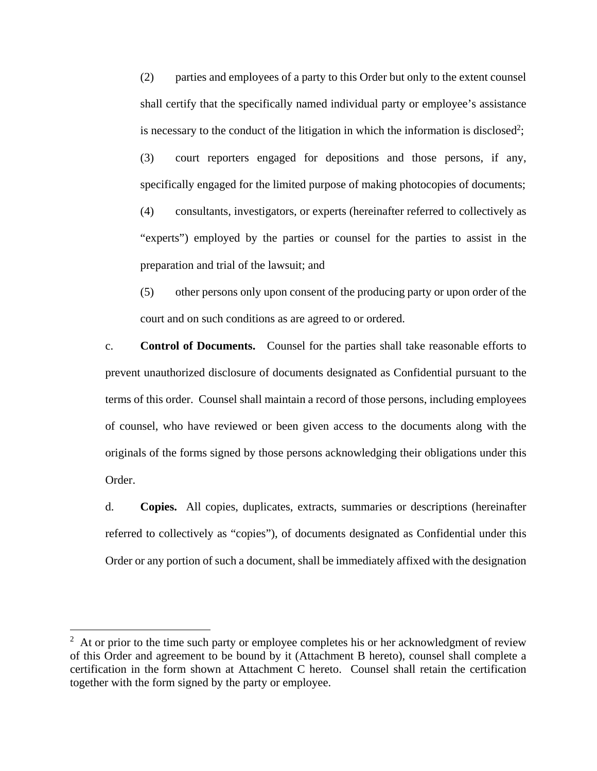(2) parties and employees of a party to this Order but only to the extent counsel shall certify that the specifically named individual party or employee's assistance is necessary to the conduct of the litigation in which the information is disclosed<sup>2</sup>;

 (3) court reporters engaged for depositions and those persons, if any, specifically engaged for the limited purpose of making photocopies of documents;

 (4) consultants, investigators, or experts (hereinafter referred to collectively as "experts") employed by the parties or counsel for the parties to assist in the preparation and trial of the lawsuit; and

 (5) other persons only upon consent of the producing party or upon order of the court and on such conditions as are agreed to or ordered.

c. **Control of Documents.** Counsel for the parties shall take reasonable efforts to prevent unauthorized disclosure of documents designated as Confidential pursuant to the terms of this order. Counsel shall maintain a record of those persons, including employees of counsel, who have reviewed or been given access to the documents along with the originals of the forms signed by those persons acknowledging their obligations under this Order.

d. **Copies.** All copies, duplicates, extracts, summaries or descriptions (hereinafter referred to collectively as "copies"), of documents designated as Confidential under this Order or any portion of such a document, shall be immediately affixed with the designation

<u>.</u>

 $2<sup>2</sup>$  At or prior to the time such party or employee completes his or her acknowledgment of review of this Order and agreement to be bound by it (Attachment B hereto), counsel shall complete a certification in the form shown at Attachment C hereto. Counsel shall retain the certification together with the form signed by the party or employee.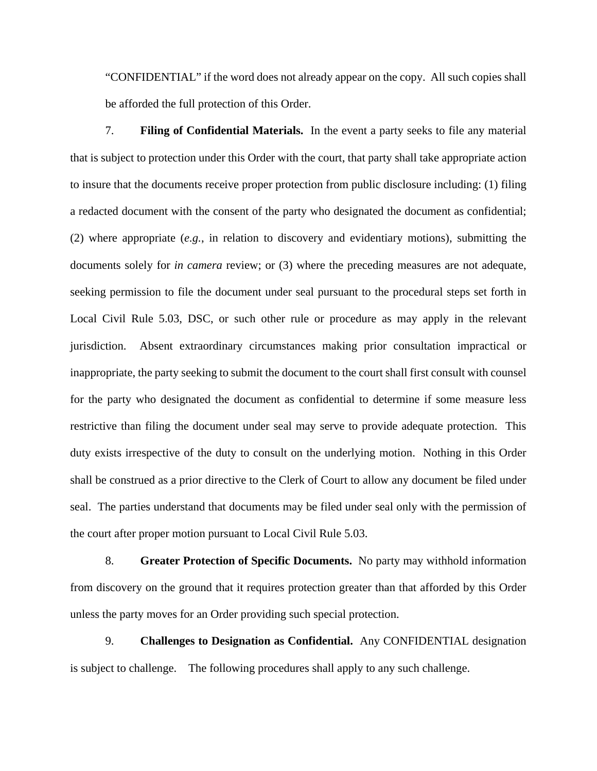"CONFIDENTIAL" if the word does not already appear on the copy. All such copies shall be afforded the full protection of this Order.

 7. **Filing of Confidential Materials.**In the event a party seeks to file any material that is subject to protection under this Order with the court, that party shall take appropriate action to insure that the documents receive proper protection from public disclosure including: (1) filing a redacted document with the consent of the party who designated the document as confidential; (2) where appropriate (*e.g.*, in relation to discovery and evidentiary motions), submitting the documents solely for *in camera* review; or (3) where the preceding measures are not adequate, seeking permission to file the document under seal pursuant to the procedural steps set forth in Local Civil Rule 5.03, DSC, or such other rule or procedure as may apply in the relevant jurisdiction. Absent extraordinary circumstances making prior consultation impractical or inappropriate, the party seeking to submit the document to the court shall first consult with counsel for the party who designated the document as confidential to determine if some measure less restrictive than filing the document under seal may serve to provide adequate protection. This duty exists irrespective of the duty to consult on the underlying motion. Nothing in this Order shall be construed as a prior directive to the Clerk of Court to allow any document be filed under seal. The parties understand that documents may be filed under seal only with the permission of the court after proper motion pursuant to Local Civil Rule 5.03.

 8. **Greater Protection of Specific Documents.** No party may withhold information from discovery on the ground that it requires protection greater than that afforded by this Order unless the party moves for an Order providing such special protection.

 9. **Challenges to Designation as Confidential.** Any CONFIDENTIAL designation is subject to challenge. The following procedures shall apply to any such challenge.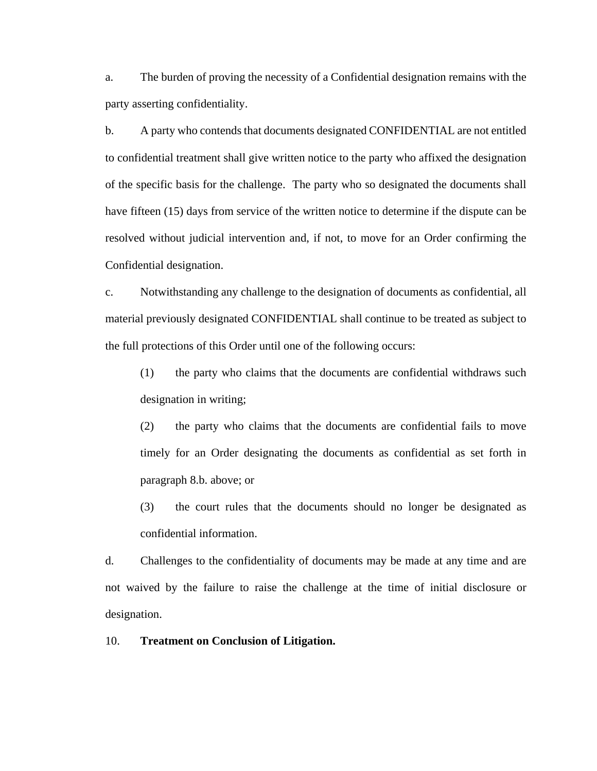a. The burden of proving the necessity of a Confidential designation remains with the party asserting confidentiality.

b. A party who contends that documents designated CONFIDENTIAL are not entitled to confidential treatment shall give written notice to the party who affixed the designation of the specific basis for the challenge. The party who so designated the documents shall have fifteen (15) days from service of the written notice to determine if the dispute can be resolved without judicial intervention and, if not, to move for an Order confirming the Confidential designation.

c. Notwithstanding any challenge to the designation of documents as confidential, all material previously designated CONFIDENTIAL shall continue to be treated as subject to the full protections of this Order until one of the following occurs:

 (1) the party who claims that the documents are confidential withdraws such designation in writing;

 (2) the party who claims that the documents are confidential fails to move timely for an Order designating the documents as confidential as set forth in paragraph 8.b. above; or

 (3) the court rules that the documents should no longer be designated as confidential information.

d. Challenges to the confidentiality of documents may be made at any time and are not waived by the failure to raise the challenge at the time of initial disclosure or designation.

### 10. **Treatment on Conclusion of Litigation.**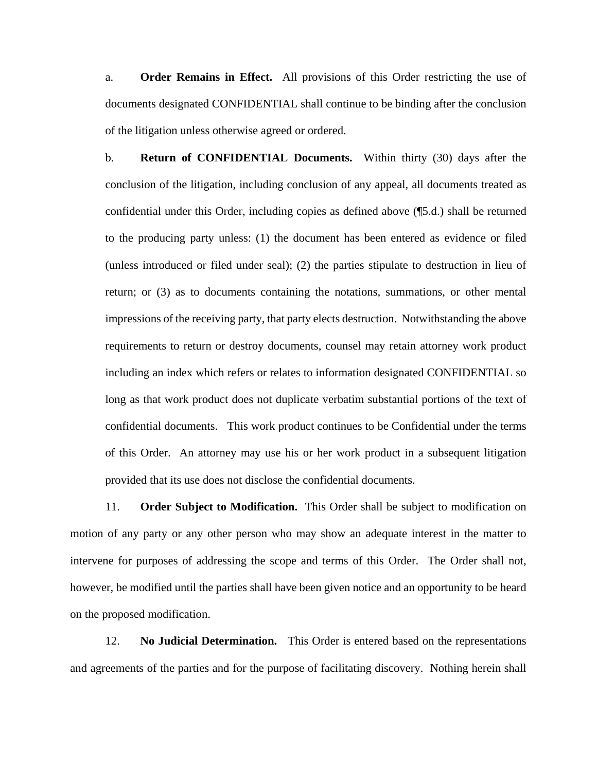a. **Order Remains in Effect.** All provisions of this Order restricting the use of documents designated CONFIDENTIAL shall continue to be binding after the conclusion of the litigation unless otherwise agreed or ordered.

b. **Return of CONFIDENTIAL Documents.** Within thirty (30) days after the conclusion of the litigation, including conclusion of any appeal, all documents treated as confidential under this Order, including copies as defined above (¶5.d.) shall be returned to the producing party unless: (1) the document has been entered as evidence or filed (unless introduced or filed under seal); (2) the parties stipulate to destruction in lieu of return; or (3) as to documents containing the notations, summations, or other mental impressions of the receiving party, that party elects destruction.Notwithstanding the above requirements to return or destroy documents, counsel may retain attorney work product including an index which refers or relates to information designated CONFIDENTIAL so long as that work product does not duplicate verbatim substantial portions of the text of confidential documents. This work product continues to be Confidential under the terms of this Order. An attorney may use his or her work product in a subsequent litigation provided that its use does not disclose the confidential documents.

 11. **Order Subject to Modification.** This Order shall be subject to modification on motion of any party or any other person who may show an adequate interest in the matter to intervene for purposes of addressing the scope and terms of this Order. The Order shall not, however, be modified until the parties shall have been given notice and an opportunity to be heard on the proposed modification.

 12. **No Judicial Determination.** This Order is entered based on the representations and agreements of the parties and for the purpose of facilitating discovery. Nothing herein shall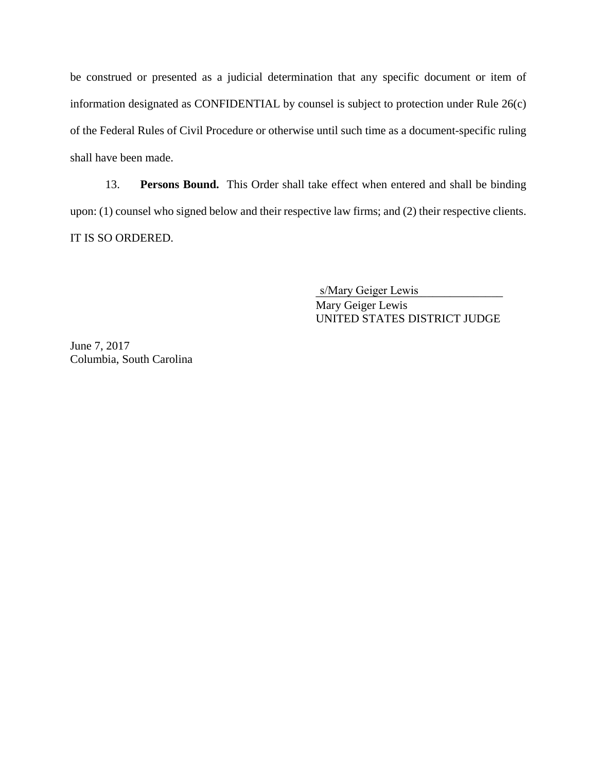be construed or presented as a judicial determination that any specific document or item of information designated as CONFIDENTIAL by counsel is subject to protection under Rule 26(c) of the Federal Rules of Civil Procedure or otherwise until such time as a document-specific ruling shall have been made.

 13. **Persons Bound.** This Order shall take effect when entered and shall be binding upon: (1) counsel who signed below and their respective law firms; and (2) their respective clients. IT IS SO ORDERED.

s/Mary Geiger Lewis Mary Geiger Lewis UNITED STATES DISTRICT JUDGE

June 7, 2017 Columbia, South Carolina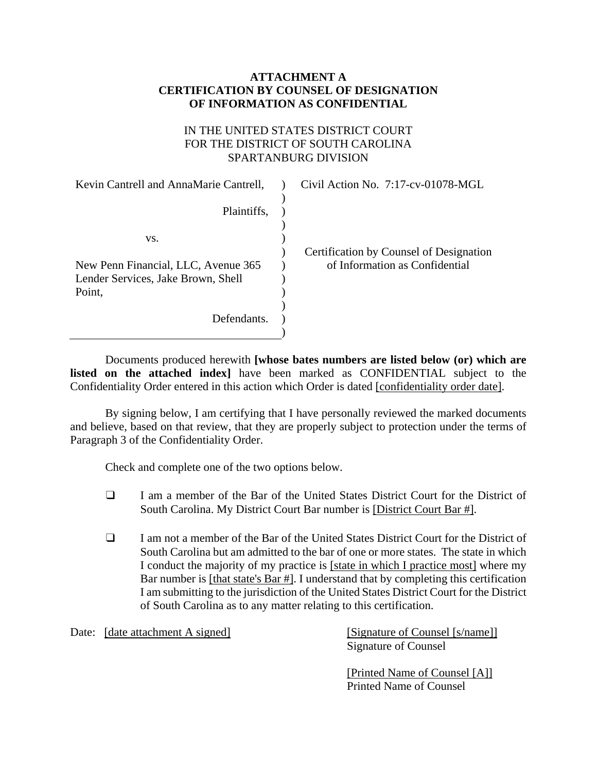## **ATTACHMENT A CERTIFICATION BY COUNSEL OF DESIGNATION OF INFORMATION AS CONFIDENTIAL**

# IN THE UNITED STATES DISTRICT COURT FOR THE DISTRICT OF SOUTH CAROLINA SPARTANBURG DIVISION

| Kevin Cantrell and AnnaMarie Cantrell, | Civil Action No. 7:17-cv-01078-MGL      |
|----------------------------------------|-----------------------------------------|
|                                        |                                         |
| Plaintiffs,                            |                                         |
|                                        |                                         |
| VS.                                    |                                         |
|                                        | Certification by Counsel of Designation |
| New Penn Financial, LLC, Avenue 365    | of Information as Confidential          |
| Lender Services, Jake Brown, Shell     |                                         |
| Point,                                 |                                         |
|                                        |                                         |
| Defendants.                            |                                         |
|                                        |                                         |

 Documents produced herewith **[whose bates numbers are listed below (or) which are listed on the attached index]** have been marked as CONFIDENTIAL subject to the Confidentiality Order entered in this action which Order is dated [confidentiality order date].

 By signing below, I am certifying that I have personally reviewed the marked documents and believe, based on that review, that they are properly subject to protection under the terms of Paragraph 3 of the Confidentiality Order.

Check and complete one of the two options below.

- ❑ I am a member of the Bar of the United States District Court for the District of South Carolina. My District Court Bar number is [District Court Bar #].
- ❑ I am not a member of the Bar of the United States District Court for the District of South Carolina but am admitted to the bar of one or more states. The state in which I conduct the majority of my practice is [state in which I practice most] where my Bar number is [that state's Bar #]. I understand that by completing this certification I am submitting to the jurisdiction of the United States District Court for the District of South Carolina as to any matter relating to this certification.

Date: [date attachment A signed] [Signature of Counsel [s/name]]

Signature of Counsel

[Printed Name of Counsel [A]] Printed Name of Counsel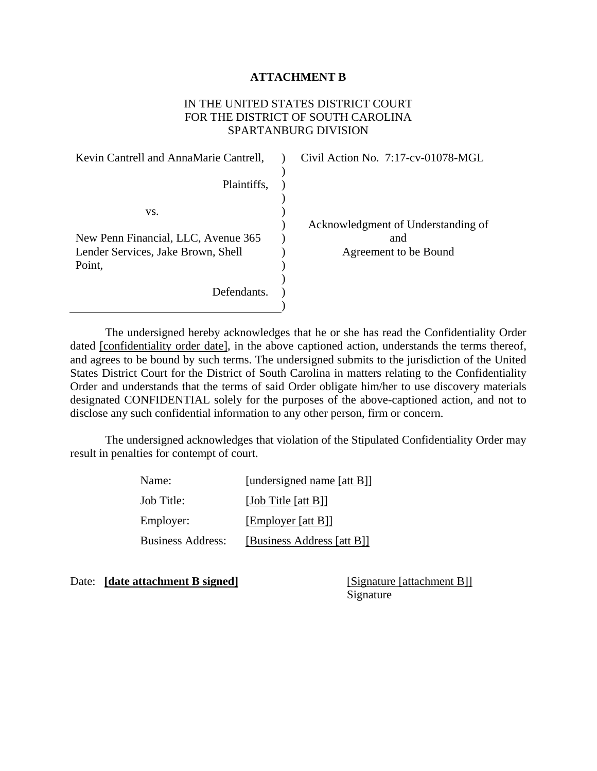### **ATTACHMENT B**

### IN THE UNITED STATES DISTRICT COURT FOR THE DISTRICT OF SOUTH CAROLINA SPARTANBURG DIVISION

| Kevin Cantrell and AnnaMarie Cantrell, | Civil Action No. 7:17-cv-01078-MGL |
|----------------------------------------|------------------------------------|
|                                        |                                    |
| Plaintiffs,                            |                                    |
|                                        |                                    |
| VS.                                    |                                    |
|                                        | Acknowledgment of Understanding of |
| New Penn Financial, LLC, Avenue 365    | and                                |
| Lender Services, Jake Brown, Shell     | Agreement to be Bound              |
| Point,                                 |                                    |
|                                        |                                    |
| Defendants.                            |                                    |
|                                        |                                    |

 The undersigned hereby acknowledges that he or she has read the Confidentiality Order dated [confidentiality order date], in the above captioned action, understands the terms thereof, and agrees to be bound by such terms. The undersigned submits to the jurisdiction of the United States District Court for the District of South Carolina in matters relating to the Confidentiality Order and understands that the terms of said Order obligate him/her to use discovery materials designated CONFIDENTIAL solely for the purposes of the above-captioned action, and not to disclose any such confidential information to any other person, firm or concern.

 The undersigned acknowledges that violation of the Stipulated Confidentiality Order may result in penalties for contempt of court.

| Name:                    | [undersigned name [att B]] |
|--------------------------|----------------------------|
| Job Title:               | [Job Title [att $B$ ]]     |
| Employer:                | [Employer [att B]]         |
| <b>Business Address:</b> | [Business Address [att B]] |

Date: **[date attachment B signed]** [Signature [attachment B]]

Signature